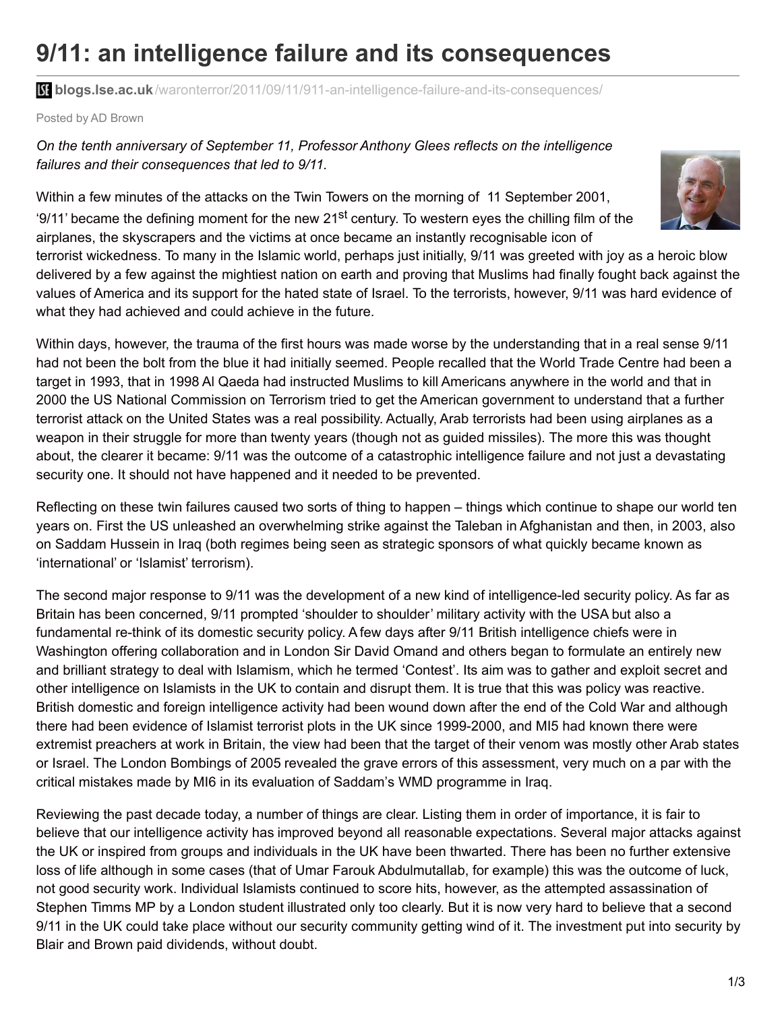## **9/11: an intelligence failure and its consequences**

**blogs.lse.ac.uk**[/waronterror/2011/09/11/911-an-intelligence-failure-and-its-consequences/](http://blogs.lse.ac.uk/waronterror/2011/09/11/911-an-intelligence-failure-and-its-consequences/)

Posted by AD Brown

## *On the tenth anniversary of September 11, Professor Anthony Glees reflects on the intelligence failures and their consequences that led to 9/11.*

Within a few minutes of the attacks on the Twin Towers on the morning of 11 September 2001, '9/11' became the defining moment for the new 21<sup>st</sup> century. To western eyes the chilling film of the airplanes, the skyscrapers and the victims at once became an instantly recognisable icon of

terrorist wickedness. To many in the Islamic world, perhaps just initially, 9/11 was greeted with joy as a heroic blow delivered by a few against the mightiest nation on earth and proving that Muslims had finally fought back against the values of America and its support for the hated state of Israel. To the terrorists, however, 9/11 was hard evidence of what they had achieved and could achieve in the future.

Within days, however, the trauma of the first hours was made worse by the understanding that in a real sense 9/11 had not been the bolt from the blue it had initially seemed. People recalled that the World Trade Centre had been a target in 1993, that in 1998 Al Qaeda had instructed Muslims to kill Americans anywhere in the world and that in 2000 the US National Commission on Terrorism tried to get the American government to understand that a further terrorist attack on the United States was a real possibility. Actually, Arab terrorists had been using airplanes as a weapon in their struggle for more than twenty years (though not as guided missiles). The more this was thought about, the clearer it became: 9/11 was the outcome of a catastrophic intelligence failure and not just a devastating security one. It should not have happened and it needed to be prevented.

Reflecting on these twin failures caused two sorts of thing to happen – things which continue to shape our world ten years on. First the US unleashed an overwhelming strike against the Taleban in Afghanistan and then, in 2003, also on Saddam Hussein in Iraq (both regimes being seen as strategic sponsors of what quickly became known as 'international' or 'Islamist' terrorism).

The second major response to 9/11 was the development of a new kind of intelligence-led security policy. As far as Britain has been concerned, 9/11 prompted 'shoulder to shoulder' military activity with the USA but also a fundamental re-think of its domestic security policy. A few days after 9/11 British intelligence chiefs were in Washington offering collaboration and in London Sir David Omand and others began to formulate an entirely new and brilliant strategy to deal with Islamism, which he termed 'Contest'. Its aim was to gather and exploit secret and other intelligence on Islamists in the UK to contain and disrupt them. It is true that this was policy was reactive. British domestic and foreign intelligence activity had been wound down after the end of the Cold War and although there had been evidence of Islamist terrorist plots in the UK since 1999-2000, and MI5 had known there were extremist preachers at work in Britain, the view had been that the target of their venom was mostly other Arab states or Israel. The London Bombings of 2005 revealed the grave errors of this assessment, very much on a par with the critical mistakes made by MI6 in its evaluation of Saddam's WMD programme in Iraq.

Reviewing the past decade today, a number of things are clear. Listing them in order of importance, it is fair to believe that our intelligence activity has improved beyond all reasonable expectations. Several major attacks against the UK or inspired from groups and individuals in the UK have been thwarted. There has been no further extensive loss of life although in some cases (that of Umar Farouk Abdulmutallab, for example) this was the outcome of luck, not good security work. Individual Islamists continued to score hits, however, as the attempted assassination of Stephen Timms MP by a London student illustrated only too clearly. But it is now very hard to believe that a second 9/11 in the UK could take place without our security community getting wind of it. The investment put into security by Blair and Brown paid dividends, without doubt.

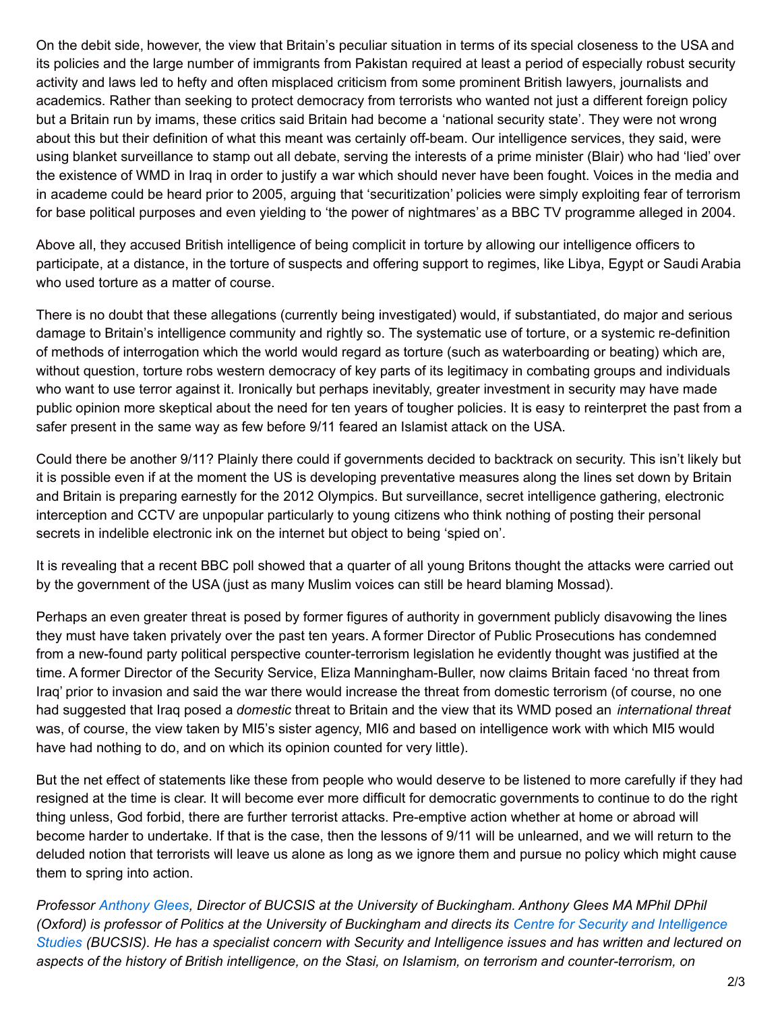On the debit side, however, the view that Britain's peculiar situation in terms of its special closeness to the USA and its policies and the large number of immigrants from Pakistan required at least a period of especially robust security activity and laws led to hefty and often misplaced criticism from some prominent British lawyers, journalists and academics. Rather than seeking to protect democracy from terrorists who wanted not just a different foreign policy but a Britain run by imams, these critics said Britain had become a 'national security state'. They were not wrong about this but their definition of what this meant was certainly off-beam. Our intelligence services, they said, were using blanket surveillance to stamp out all debate, serving the interests of a prime minister (Blair) who had 'lied' over the existence of WMD in Iraq in order to justify a war which should never have been fought. Voices in the media and in academe could be heard prior to 2005, arguing that 'securitization' policies were simply exploiting fear of terrorism for base political purposes and even yielding to 'the power of nightmares' as a BBC TV programme alleged in 2004.

Above all, they accused British intelligence of being complicit in torture by allowing our intelligence officers to participate, at a distance, in the torture of suspects and offering support to regimes, like Libya, Egypt or Saudi Arabia who used torture as a matter of course.

There is no doubt that these allegations (currently being investigated) would, if substantiated, do major and serious damage to Britain's intelligence community and rightly so. The systematic use of torture, or a systemic re-definition of methods of interrogation which the world would regard as torture (such as waterboarding or beating) which are, without question, torture robs western democracy of key parts of its legitimacy in combating groups and individuals who want to use terror against it. Ironically but perhaps inevitably, greater investment in security may have made public opinion more skeptical about the need for ten years of tougher policies. It is easy to reinterpret the past from a safer present in the same way as few before 9/11 feared an Islamist attack on the USA.

Could there be another 9/11? Plainly there could if governments decided to backtrack on security. This isn't likely but it is possible even if at the moment the US is developing preventative measures along the lines set down by Britain and Britain is preparing earnestly for the 2012 Olympics. But surveillance, secret intelligence gathering, electronic interception and CCTV are unpopular particularly to young citizens who think nothing of posting their personal secrets in indelible electronic ink on the internet but object to being 'spied on'.

It is revealing that a recent BBC poll showed that a quarter of all young Britons thought the attacks were carried out by the government of the USA (just as many Muslim voices can still be heard blaming Mossad).

Perhaps an even greater threat is posed by former figures of authority in government publicly disavowing the lines they must have taken privately over the past ten years. A former Director of Public Prosecutions has condemned from a new-found party political perspective counter-terrorism legislation he evidently thought was justified at the time. A former Director of the Security Service, Eliza Manningham-Buller, now claims Britain faced 'no threat from Iraq' prior to invasion and said the war there would increase the threat from domestic terrorism (of course, no one had suggested that Iraq posed a *domestic* threat to Britain and the view that its WMD posed an *international threat* was, of course, the view taken by MI5's sister agency, MI6 and based on intelligence work with which MI5 would have had nothing to do, and on which its opinion counted for very little).

But the net effect of statements like these from people who would deserve to be listened to more carefully if they had resigned at the time is clear. It will become ever more difficult for democratic governments to continue to do the right thing unless, God forbid, there are further terrorist attacks. Pre-emptive action whether at home or abroad will become harder to undertake. If that is the case, then the lessons of 9/11 will be unlearned, and we will return to the deluded notion that terrorists will leave us alone as long as we ignore them and pursue no policy which might cause them to spring into action.

*Professor [Anthony](http://www.buckingham.ac.uk/directory/professor-anthony-glees/) Glees, Director of BUCSIS at the University of Buckingham. Anthony Glees MA MPhil DPhil* (Oxford) is professor of Politics at the University of [Buckingham](http://www.buckingham.ac.uk/research/bucsis) and directs its Centre for Security and Intelligence Studies (BUCSIS). He has a specialist concern with Security and Intelligence issues and has written and lectured on aspects of the history of British intelligence, on the Stasi, on Islamism, on terrorism and counter-terrorism, on